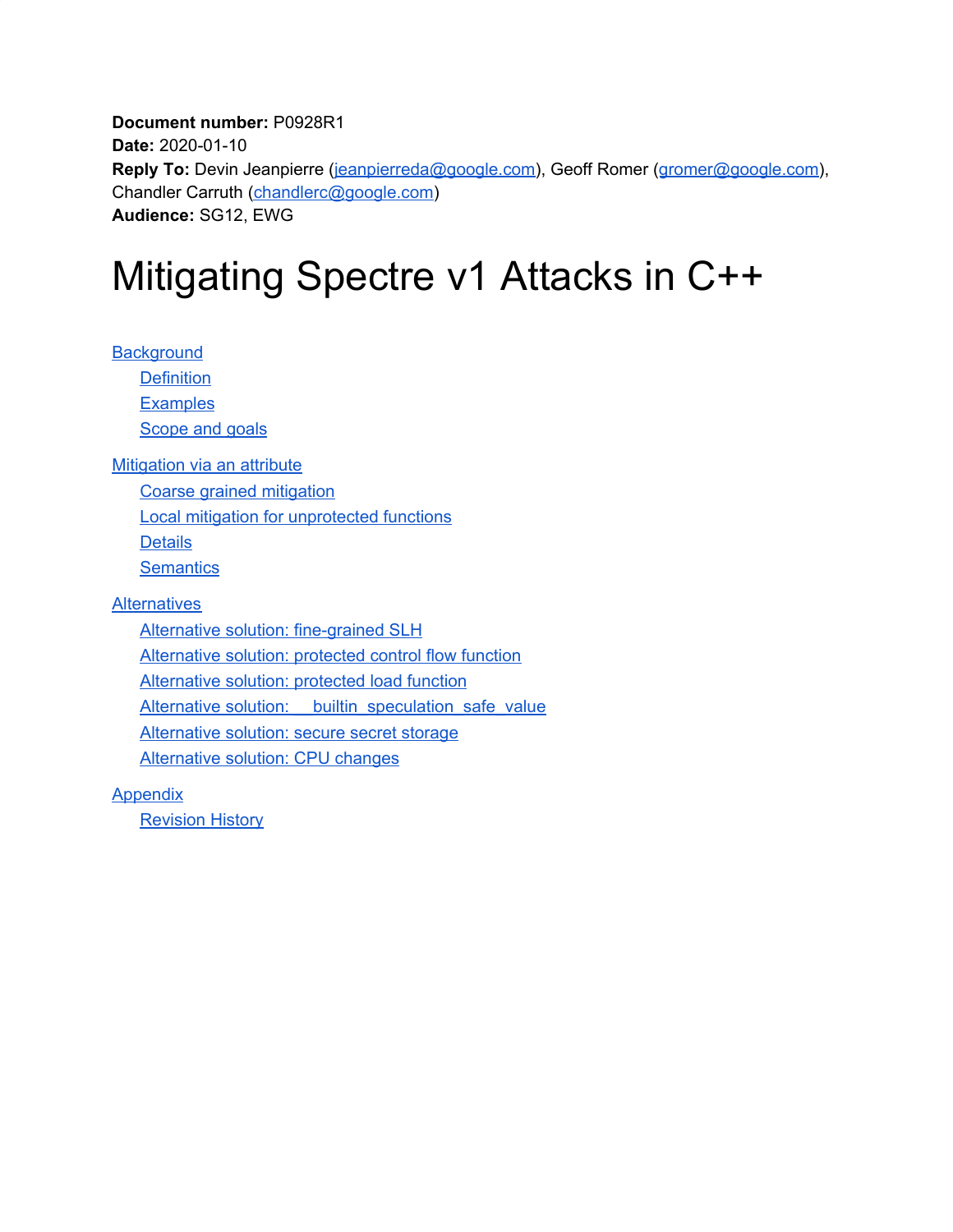**Document number:** P0928R1 **Date:** 2020-01-10 **Reply To:** Devin Jeanpierre ([jeanpierreda@google.com](mailto:jeanpierreda@google.com)), Geoff Romer ([gromer@google.com](mailto:gromer@google.com)), Chandler Carruth [\(chandlerc@google.com\)](mailto:chandlerc@google.com) **Audience:** SG12, EWG

# Mitigating Spectre v1 Attacks in C++

**[Background](#page-1-0) [Definition](#page-1-1) [Examples](#page-2-0)** [Scope](#page-4-0) and goals

**[Mitigation](#page-5-0) via an attribute** 

Coarse grained [mitigation](#page-5-1)

Local mitigation for [unprotected](#page-8-0) functions

**[Details](#page-10-0)** 

**[Semantics](#page-15-0)** 

**[Alternatives](#page-17-0)** 

Alternative solution: [fine-grained](#page-17-1) SLH [Alternative](#page-17-2) solution: protected control flow function [Alternative](#page-18-0) solution: protected load function Alternative solution: \_\_ builtin\_speculation\_safe\_value [Alternative](#page-20-0) solution: secure secret storage [Alternative](#page-20-1) solution: CPU changes

**[Appendix](#page-20-2)** 

**[Revision](#page-20-3) History**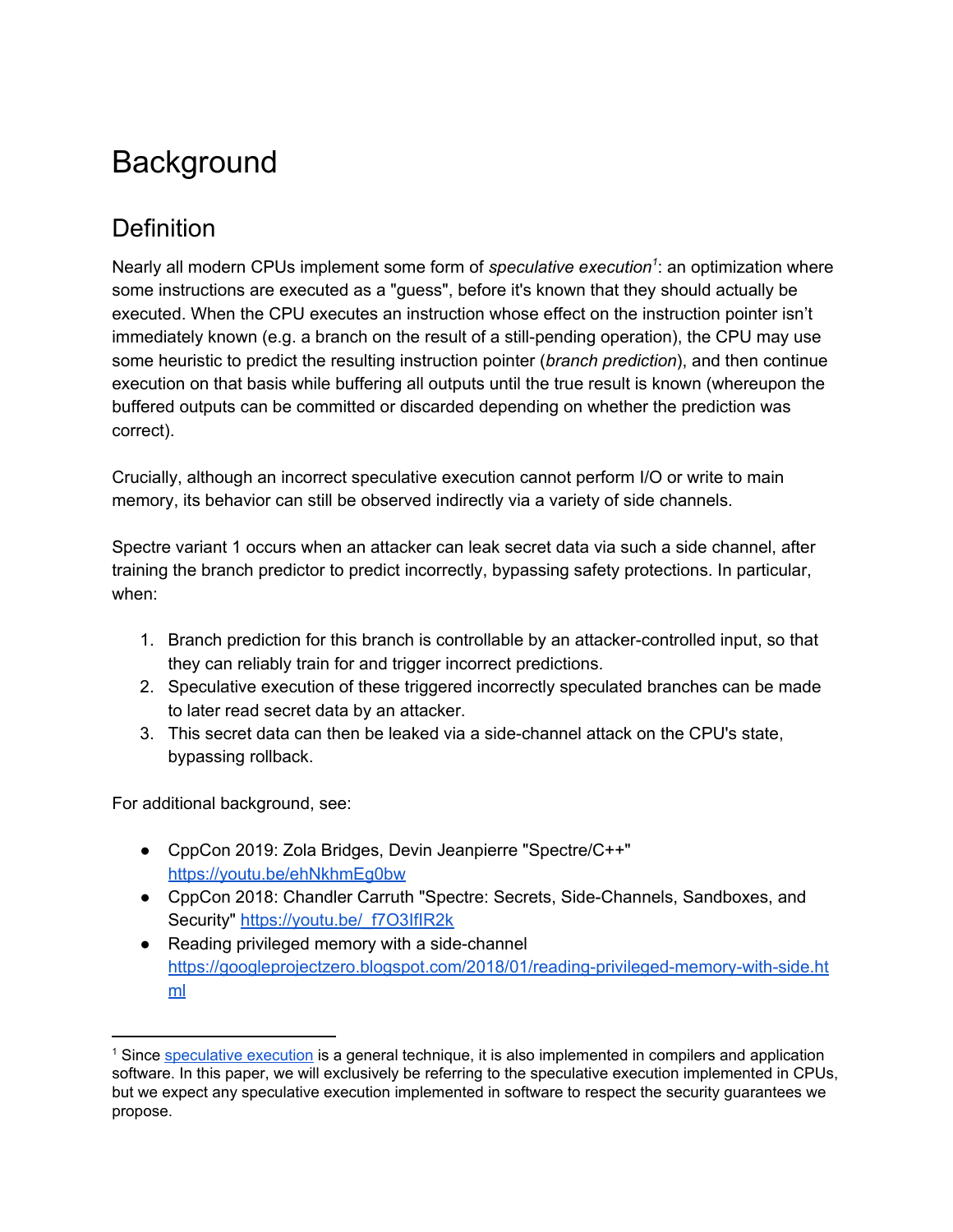# <span id="page-1-0"></span>**Background**

## <span id="page-1-1"></span>**Definition**

Nearly all modern CPUs implement some form of *speculative execution<sup>1</sup>:* an optimization where some instructions are executed as a "guess", before it's known that they should actually be executed. When the CPU executes an instruction whose effect on the instruction pointer isn't immediately known (e.g. a branch on the result of a still-pending operation), the CPU may use some heuristic to predict the resulting instruction pointer (*branch prediction*), and then continue execution on that basis while buffering all outputs until the true result is known (whereupon the buffered outputs can be committed or discarded depending on whether the prediction was correct).

Crucially, although an incorrect speculative execution cannot perform I/O or write to main memory, its behavior can still be observed indirectly via a variety of side channels.

Spectre variant 1 occurs when an attacker can leak secret data via such a side channel, after training the branch predictor to predict incorrectly, bypassing safety protections. In particular, when:

- 1. Branch prediction for this branch is controllable by an attacker-controlled input, so that they can reliably train for and trigger incorrect predictions.
- 2. Speculative execution of these triggered incorrectly speculated branches can be made to later read secret data by an attacker.
- 3. This secret data can then be leaked via a side-channel attack on the CPU's state, bypassing rollback.

For additional background, see:

- CppCon 2019: Zola Bridges, Devin Jeanpierre "Spectre/C++" <https://youtu.be/ehNkhmEg0bw>
- CppCon 2018: Chandler Carruth "Spectre: Secrets, Side-Channels, Sandboxes, and Security" [https://youtu.be/\\_f7O3IfIR2k](https://youtu.be/_f7O3IfIR2k)
- Reading privileged memory with a side-channel [https://googleprojectzero.blogspot.com/2018/01/reading-privileged-memory-with-side.ht](https://googleprojectzero.blogspot.com/2018/01/reading-privileged-memory-with-side.html) [ml](https://googleprojectzero.blogspot.com/2018/01/reading-privileged-memory-with-side.html)

<sup>1</sup> Since [speculative](https://en.wikipedia.org/wiki/Speculative_execution) execution is a general technique, it is also implemented in compilers and application software. In this paper, we will exclusively be referring to the speculative execution implemented in CPUs, but we expect any speculative execution implemented in software to respect the security guarantees we propose.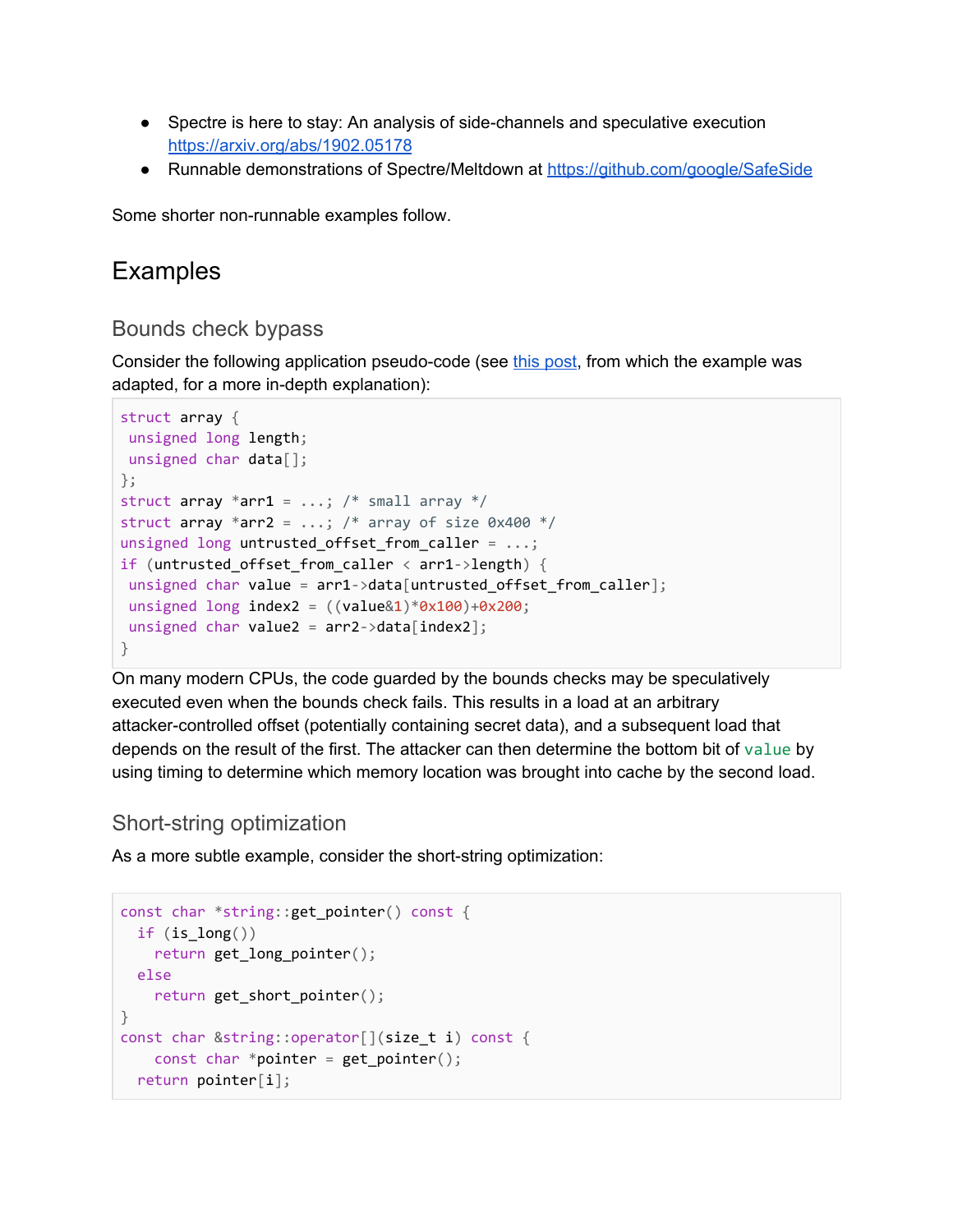- Spectre is here to stay: An analysis of side-channels and speculative execution <https://arxiv.org/abs/1902.05178>
- Runnable demonstrations of Spectre/Meltdown at <https://github.com/google/SafeSide>

<span id="page-2-0"></span>Some shorter non-runnable examples follow.

### **Examples**

#### Bounds check bypass

Consider the following application pseudo-code (see this [post](https://googleprojectzero.blogspot.com/2018/01/reading-privileged-memory-with-side.html), from which the example was adapted, for a more in-depth explanation):

```
struct array {
unsigned long length;
unsigned char data[];
};
struct array *arr1 = \ldots; /* small array */
struct array *arr2 = \ldots; /* array of size 0x400 */
unsigned long untrusted_offset_from_caller = ...;
if (untrusted_offset_from_caller < arr1->length) {
unsigned char value = arr1->data[untrusted offset from caller];
unsigned long index2 = ((value@1)*0x100)+0x200;unsigned char value2 = arr2->data[index2];
}
```
On many modern CPUs, the code guarded by the bounds checks may be speculatively executed even when the bounds check fails. This results in a load at an arbitrary attacker-controlled offset (potentially containing secret data), and a subsequent load that depends on the result of the first. The attacker can then determine the bottom bit of value by using timing to determine which memory location was brought into cache by the second load.

#### <span id="page-2-1"></span>Short-string optimization

As a more subtle example, consider the short-string optimization:

```
const char *string::get_pointer() const {
 if (is\_long())return get_long_pointer();
 else
   return get_short_pointer();
}
const char &string::operator[](size t i) const {
   const char *pointer = get_pointer();
 return pointer[i];
```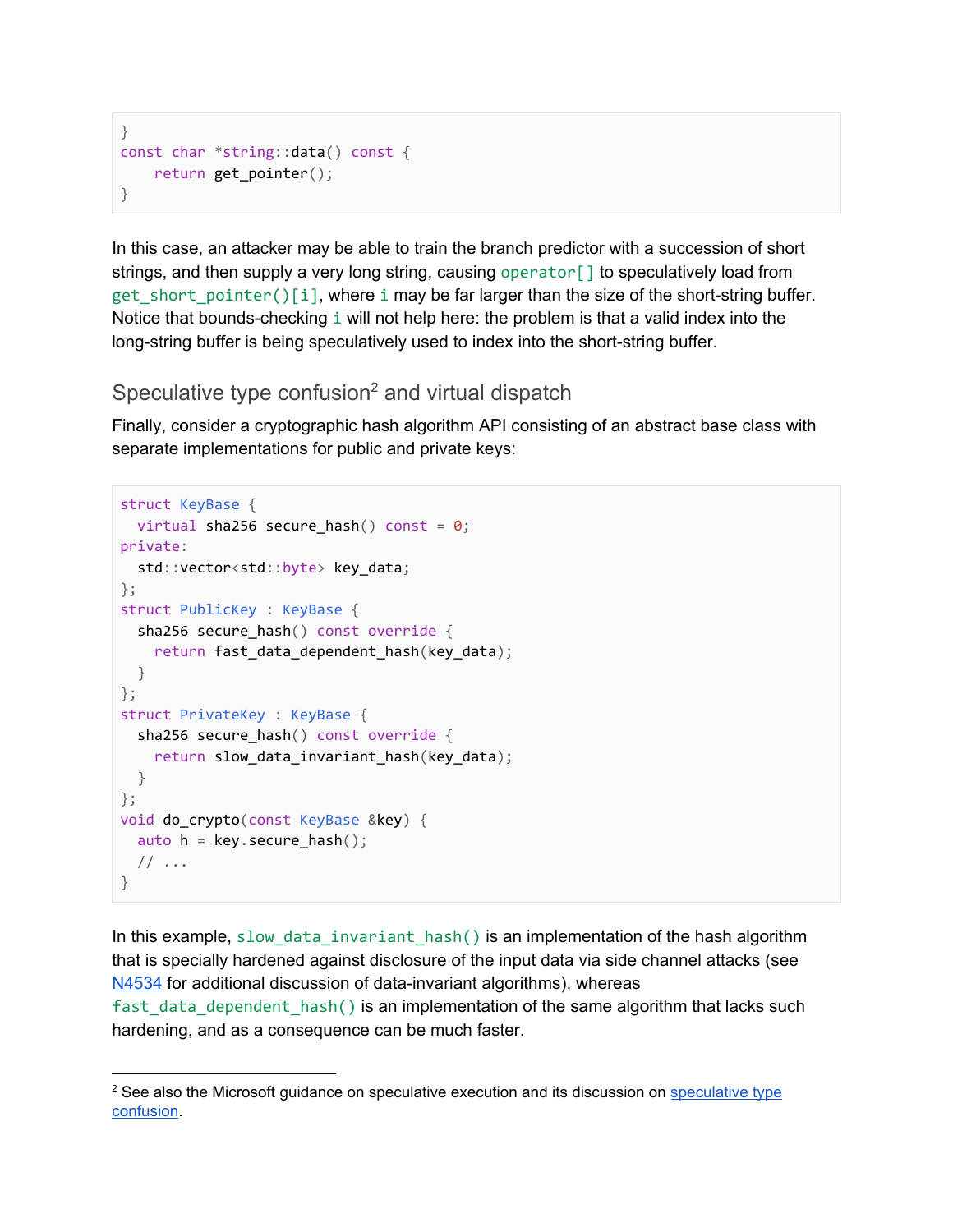```
}
const char *string::data() const {
   return get_pointer();
}
```
In this case, an attacker may be able to train the branch predictor with a succession of short strings, and then supply a very long string, causing operator [] to speculatively load from get\_short\_pointer()[i], where i may be far larger than the size of the short-string buffer. Notice that bounds-checking i will not help here: the problem is that a valid index into the long-string buffer is being speculatively used to index into the short-string buffer.

#### <span id="page-3-0"></span>Speculative type confusion<sup>2</sup> and virtual dispatch

Finally, consider a cryptographic hash algorithm API consisting of an abstract base class with separate implementations for public and private keys:

```
struct KeyBase {
 virtual sha256 secure hash() const = 0;
private:
 std::vector<std::byte> key_data;
};
struct PublicKey : KeyBase {
  sha256 secure_hash() const override {
    return fast data dependent hash(key data);
  }
};
struct PrivateKey : KeyBase {
 sha256 secure_hash() const override {
    return slow_data_invariant_hash(key_data);
 }
};
void do_crypto(const KeyBase &key) {
 auto h = \text{key}. secure hash();
 // \ldots}
```
In this example, slow\_data\_invariant\_hash() is an implementation of the hash algorithm that is specially hardened against disclosure of the input data via side channel attacks (see [N4534](http://www.open-std.org/jtc1/sc22/wg21/docs/papers/2015/n4534.html) for additional discussion of data-invariant algorithms), whereas fast data dependent hash() is an implementation of the same algorithm that lacks such hardening, and as a consequence can be much faster.

<sup>&</sup>lt;sup>2</sup> See also the Microsoft guidance on [speculative](https://docs.microsoft.com/en-us/cpp/security/developer-guidance-speculative-execution?view=vs-2019#speculative-type-confusion) execution and its discussion on speculative type [confusion.](https://docs.microsoft.com/en-us/cpp/security/developer-guidance-speculative-execution?view=vs-2019#speculative-type-confusion)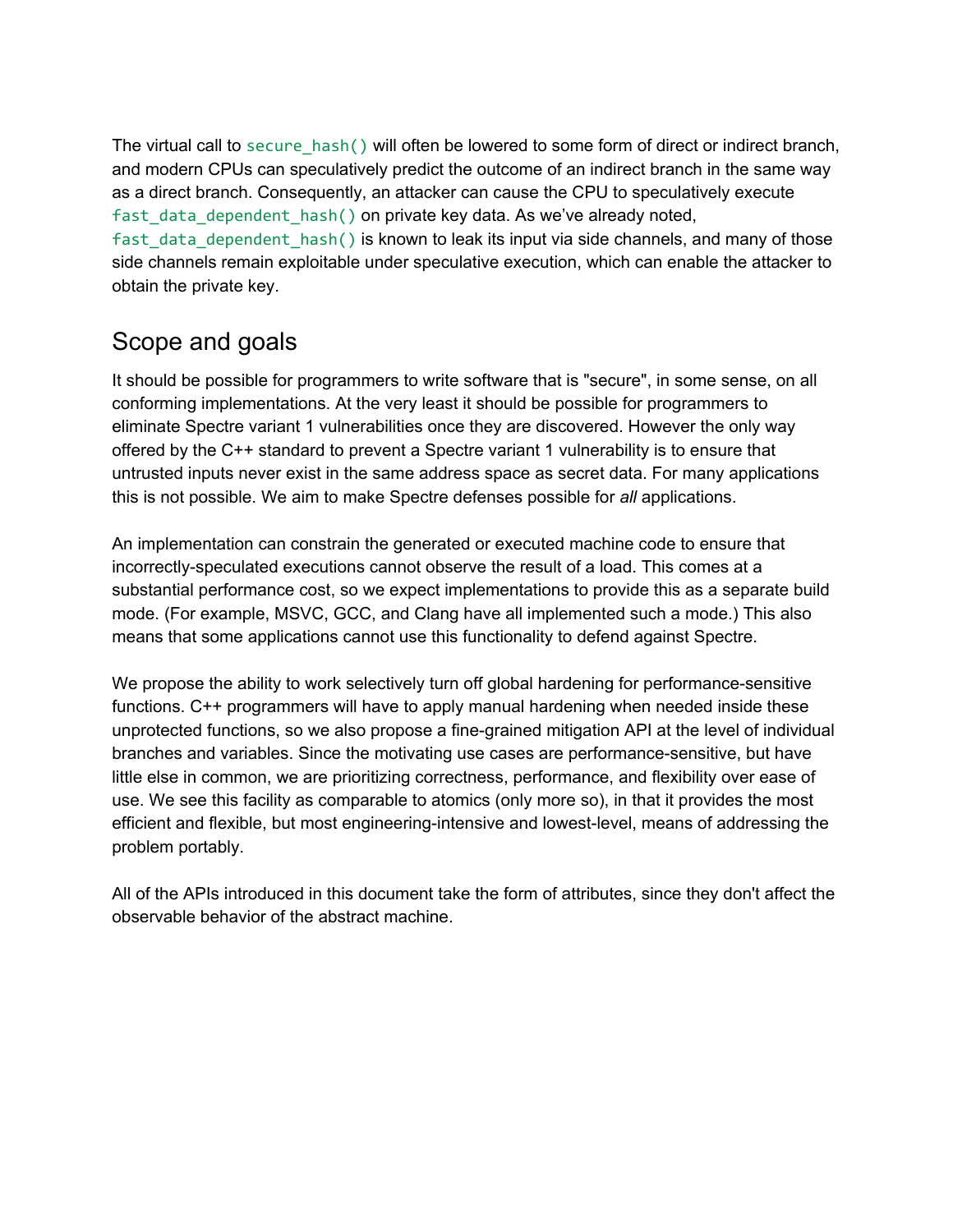The virtual call to secure\_hash() will often be lowered to some form of direct or indirect branch, and modern CPUs can speculatively predict the outcome of an indirect branch in the same way as a direct branch. Consequently, an attacker can cause the CPU to speculatively execute fast data dependent hash() on private key data. As we've already noted, fast\_data\_dependent\_hash() is known to leak its input via side channels, and many of those side channels remain exploitable under speculative execution, which can enable the attacker to obtain the private key.

### <span id="page-4-0"></span>Scope and goals

It should be possible for programmers to write software that is "secure", in some sense, on all conforming implementations. At the very least it should be possible for programmers to eliminate Spectre variant 1 vulnerabilities once they are discovered. However the only way offered by the C++ standard to prevent a Spectre variant 1 vulnerability is to ensure that untrusted inputs never exist in the same address space as secret data. For many applications this is not possible. We aim to make Spectre defenses possible for *all* applications.

An implementation can constrain the generated or executed machine code to ensure that incorrectly-speculated executions cannot observe the result of a load. This comes at a substantial performance cost, so we expect implementations to provide this as a separate build mode. (For example, MSVC, GCC, and Clang have all implemented such a mode.) This also means that some applications cannot use this functionality to defend against Spectre.

We propose the ability to work selectively turn off global hardening for performance-sensitive functions. C++ programmers will have to apply manual hardening when needed inside these unprotected functions, so we also propose a fine-grained mitigation API at the level of individual branches and variables. Since the motivating use cases are performance-sensitive, but have little else in common, we are prioritizing correctness, performance, and flexibility over ease of use. We see this facility as comparable to atomics (only more so), in that it provides the most efficient and flexible, but most engineering-intensive and lowest-level, means of addressing the problem portably.

All of the APIs introduced in this document take the form of attributes, since they don't affect the observable behavior of the abstract machine.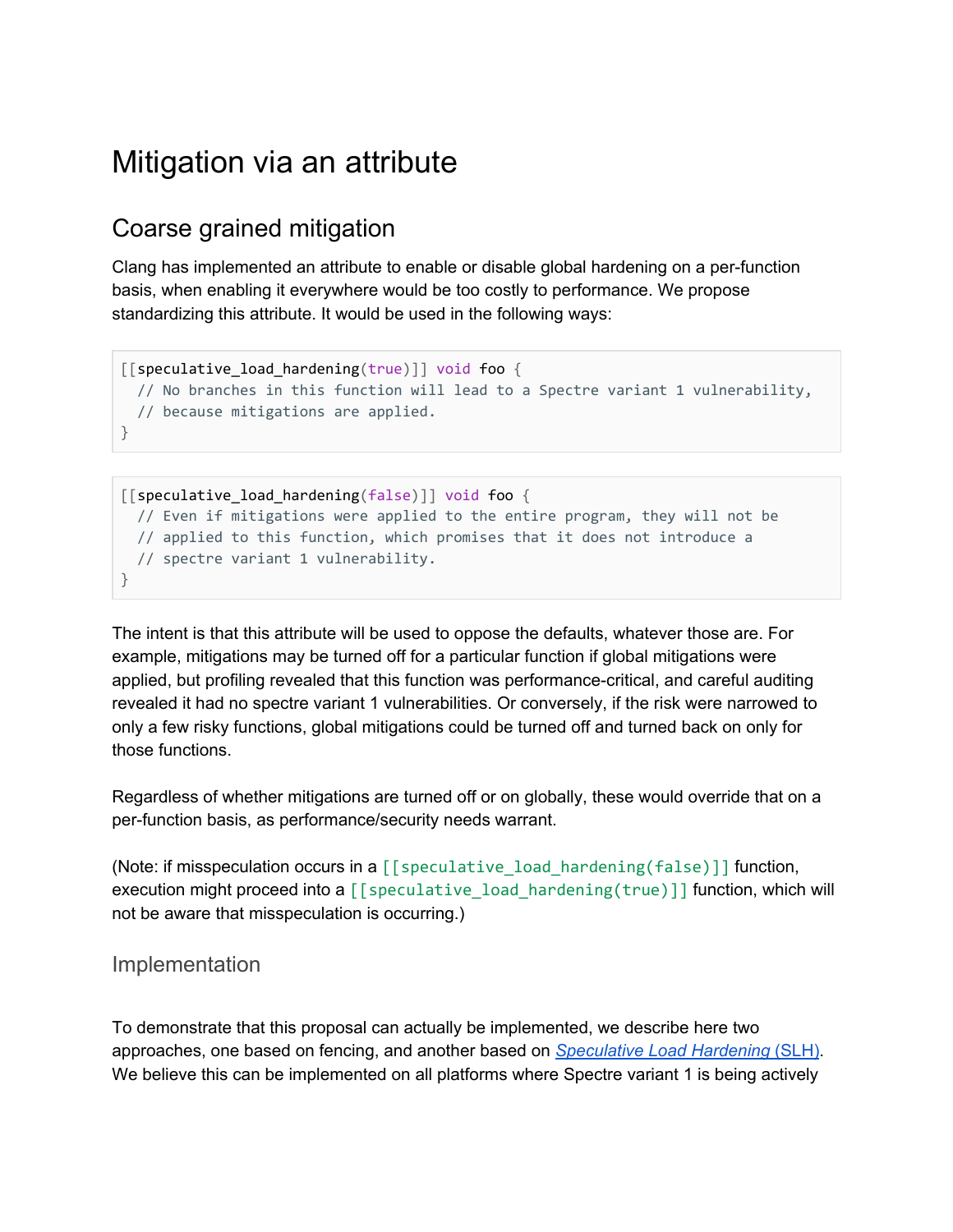# <span id="page-5-0"></span>Mitigation via an attribute

### <span id="page-5-1"></span>Coarse grained mitigation

Clang has implemented an attribute to enable or disable global hardening on a per-function basis, when enabling it everywhere would be too costly to performance. We propose standardizing this attribute. It would be used in the following ways:

```
\lceil [speculative load hardening(true)]] void foo {
 // No branches in this function will lead to a Spectre variant 1 vulnerability,
 // because mitigations are applied.
}
```

```
[[speculative_load_hardening(false)]] void foo {
 // Even if mitigations were applied to the entire program, they will not be
 // applied to this function, which promises that it does not introduce a
 // spectre variant 1 vulnerability.
}
```
The intent is that this attribute will be used to oppose the defaults, whatever those are. For example, mitigations may be turned off for a particular function if global mitigations were applied, but profiling revealed that this function was performance-critical, and careful auditing revealed it had no spectre variant 1 vulnerabilities. Or conversely, if the risk were narrowed to only a few risky functions, global mitigations could be turned off and turned back on only for those functions.

Regardless of whether mitigations are turned off or on globally, these would override that on a per-function basis, as performance/security needs warrant.

(Note: if misspeculation occurs in a  $[$  [speculative load hardening(false)]] function, execution might proceed into a [[speculative\_load\_hardening(true)]] function, which will not be aware that misspeculation is occurring.)

#### Implementation

To demonstrate that this proposal can actually be implemented, we describe here two approaches, one based on fencing, and another based on *[Speculative](https://llvm.org/docs/SpeculativeLoadHardening.html) Load Hardening* [\(SLH\)](https://llvm.org/docs/SpeculativeLoadHardening.html). We believe this can be implemented on all platforms where Spectre variant 1 is being actively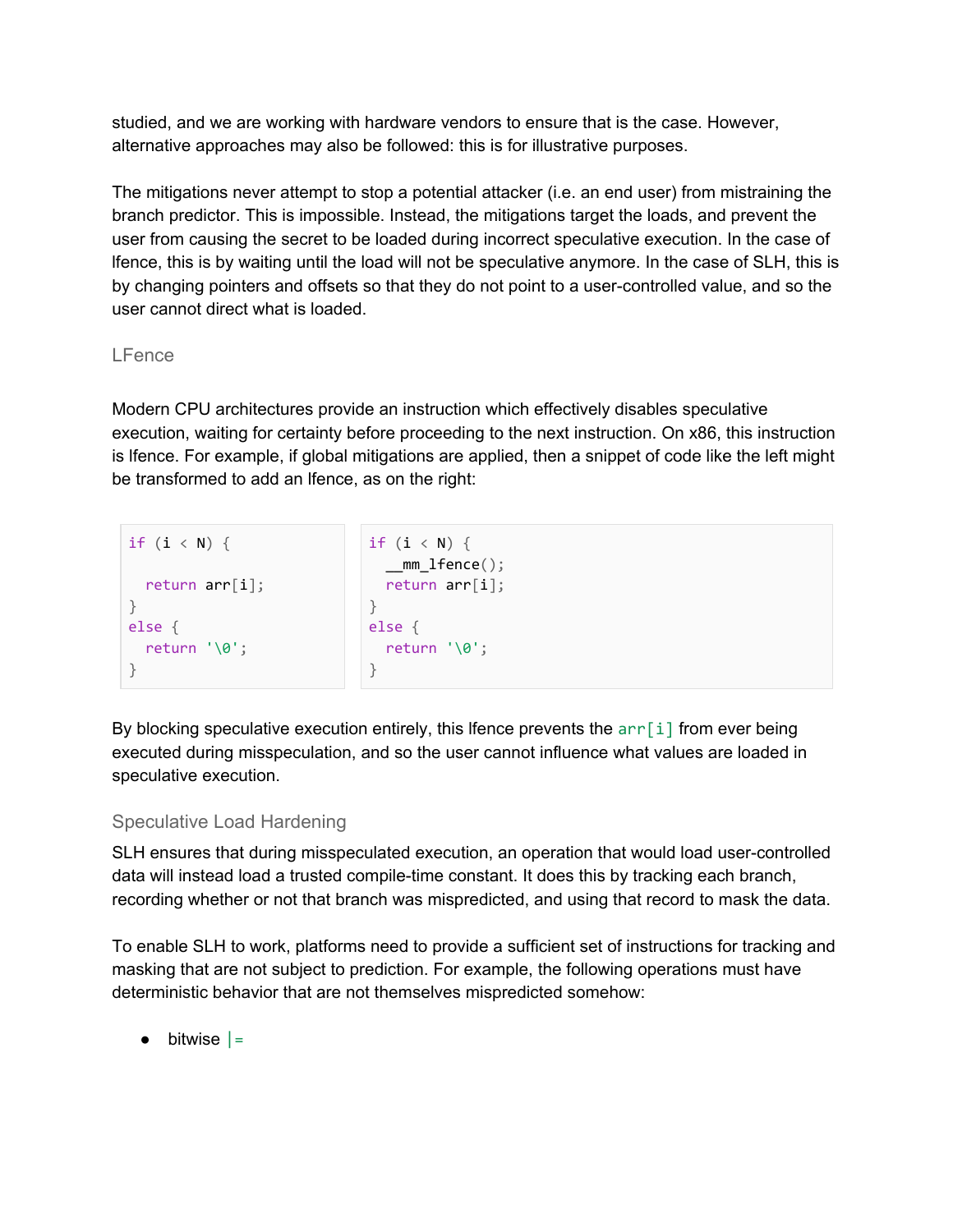studied, and we are working with hardware vendors to ensure that is the case. However, alternative approaches may also be followed: this is for illustrative purposes.

The mitigations never attempt to stop a potential attacker (i.e. an end user) from mistraining the branch predictor. This is impossible. Instead, the mitigations target the loads, and prevent the user from causing the secret to be loaded during incorrect speculative execution. In the case of lfence, this is by waiting until the load will not be speculative anymore. In the case of SLH, this is by changing pointers and offsets so that they do not point to a user-controlled value, and so the user cannot direct what is loaded.

#### LFence

Modern CPU architectures provide an instruction which effectively disables speculative execution, waiting for certainty before proceeding to the next instruction. On x86, this instruction is lfence. For example, if global mitigations are applied, then a snippet of code like the left might be transformed to add an lfence, as on the right:

```
if (i < N) {
 return arr[i];
}
else {
 return '\0';
}
                            if (i < N) {
                              mm_ [fence();
                             return arr[i];
                            }
                            else {
                              return '\0';
                            }
```
By blocking speculative execution entirely, this lfence prevents the  $\arf i$  from ever being executed during misspeculation, and so the user cannot influence what values are loaded in speculative execution.

#### Speculative Load Hardening

SLH ensures that during misspeculated execution, an operation that would load user-controlled data will instead load a trusted compile-time constant. It does this by tracking each branch, recording whether or not that branch was mispredicted, and using that record to mask the data.

To enable SLH to work, platforms need to provide a sufficient set of instructions for tracking and masking that are not subject to prediction. For example, the following operations must have deterministic behavior that are not themselves mispredicted somehow:

 $\bullet$  bitwise  $\vert =$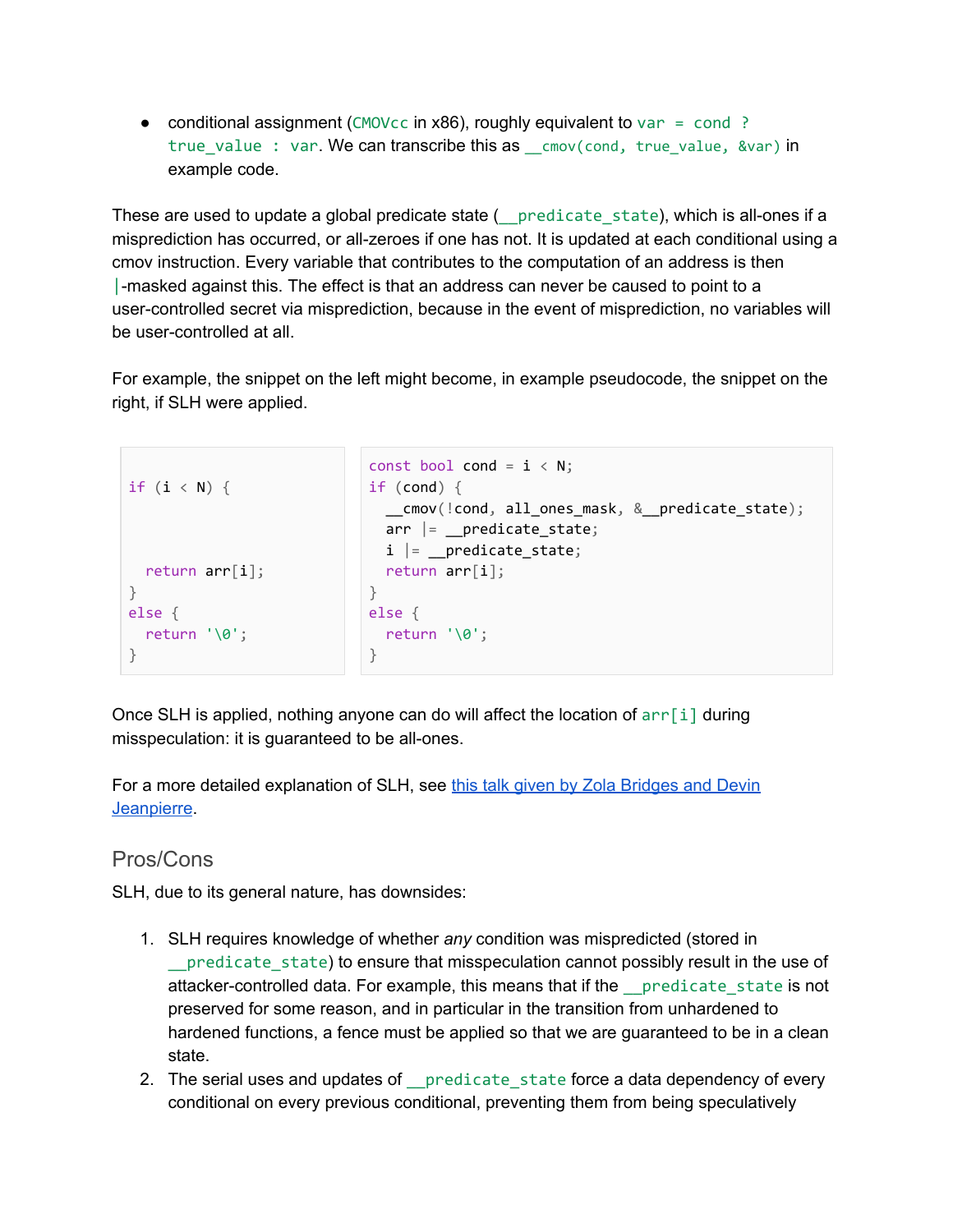• conditional assignment (CMOVcc in x86), roughly equivalent to  $var = cond$ ? true\_value : var. We can transcribe this as \_\_cmov(cond, true\_value, &var) in example code.

These are used to update a global predicate state ( \_ predicate state), which is all-ones if a misprediction has occurred, or all-zeroes if one has not. It is updated at each conditional using a cmov instruction. Every variable that contributes to the computation of an address is then |-masked against this. The effect is that an address can never be caused to point to a user-controlled secret via misprediction, because in the event of misprediction, no variables will be user-controlled at all.

For example, the snippet on the left might become, in example pseudocode, the snippet on the right, if SLH were applied.

```
if (i < N) {
 return arr[i];
}
else {
 return '\0';
}
                           const bool cond = i < N;
                           if (cond) {
                             cmov(!cond, all ones mask, & predicate state);
                             arr = predicte_state;
                             i = predicted\_state;
                             return arr[i];
                           }
                           else {
                             return '\0';
                           }
```
Once SLH is applied, nothing anyone can do will affect the location of  $arr[i]$  during misspeculation: it is guaranteed to be all-ones.

For a more detailed explanation of SLH, see this talk given by Zola [Bridges](https://www.youtube.com/watch?v=ehNkhmEg0bw) and Devin [Jeanpierre.](https://www.youtube.com/watch?v=ehNkhmEg0bw)

#### Pros/Cons

SLH, due to its general nature, has downsides:

- 1. SLH requires knowledge of whether *any* condition was mispredicted (stored in \_\_predicate\_state) to ensure that misspeculation cannot possibly result in the use of attacker-controlled data. For example, this means that if the \_\_predicate\_state is not preserved for some reason, and in particular in the transition from unhardened to hardened functions, a fence must be applied so that we are guaranteed to be in a clean state.
- 2. The serial uses and updates of predicate state force a data dependency of every conditional on every previous conditional, preventing them from being speculatively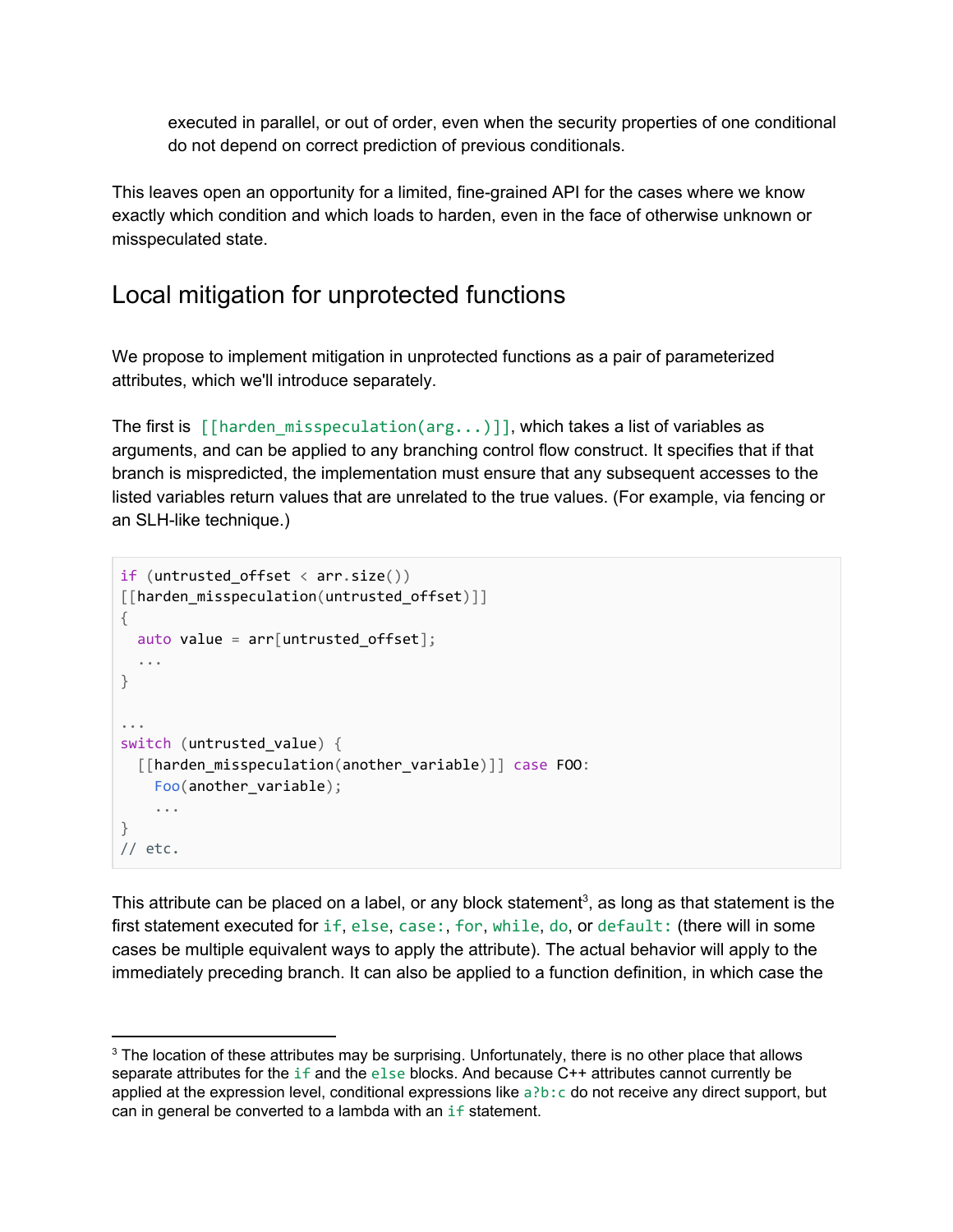executed in parallel, or out of order, even when the security properties of one conditional do not depend on correct prediction of previous conditionals.

This leaves open an opportunity for a limited, fine-grained API for the cases where we know exactly which condition and which loads to harden, even in the face of otherwise unknown or misspeculated state.

### <span id="page-8-0"></span>Local mitigation for unprotected functions

We propose to implement mitigation in unprotected functions as a pair of parameterized attributes, which we'll introduce separately.

The first is  $[[harden_misspeculation(arg...)]]$ , which takes a list of variables as arguments, and can be applied to any branching control flow construct. It specifies that if that branch is mispredicted, the implementation must ensure that any subsequent accesses to the listed variables return values that are unrelated to the true values. (For example, via fencing or an SLH-like technique.)

```
if (untrusted offset \langle arr.size())
[[harden_misspeculation(untrusted_offset)]]
{
 auto value = arr[untrusted_offset];...
}
...
switch (untrusted_value) {
  [[harden_misspeculation(another_variable)]] case FOO:
   Foo(another_variable);
    ...
}
// etc.
```
This attribute can be placed on a label, or any block statement<sup>3</sup>, as long as that statement is the first statement executed for if, else, case:, for, while, do, or default: (there will in some cases be multiple equivalent ways to apply the attribute). The actual behavior will apply to the immediately preceding branch. It can also be applied to a function definition, in which case the

<sup>&</sup>lt;sup>3</sup> The location of these attributes may be surprising. Unfortunately, there is no other place that allows separate attributes for the if and the else blocks. And because C++ attributes cannot currently be applied at the expression level, conditional expressions like  $a \cdot b : c$  do not receive any direct support, but can in general be converted to a lambda with an if statement.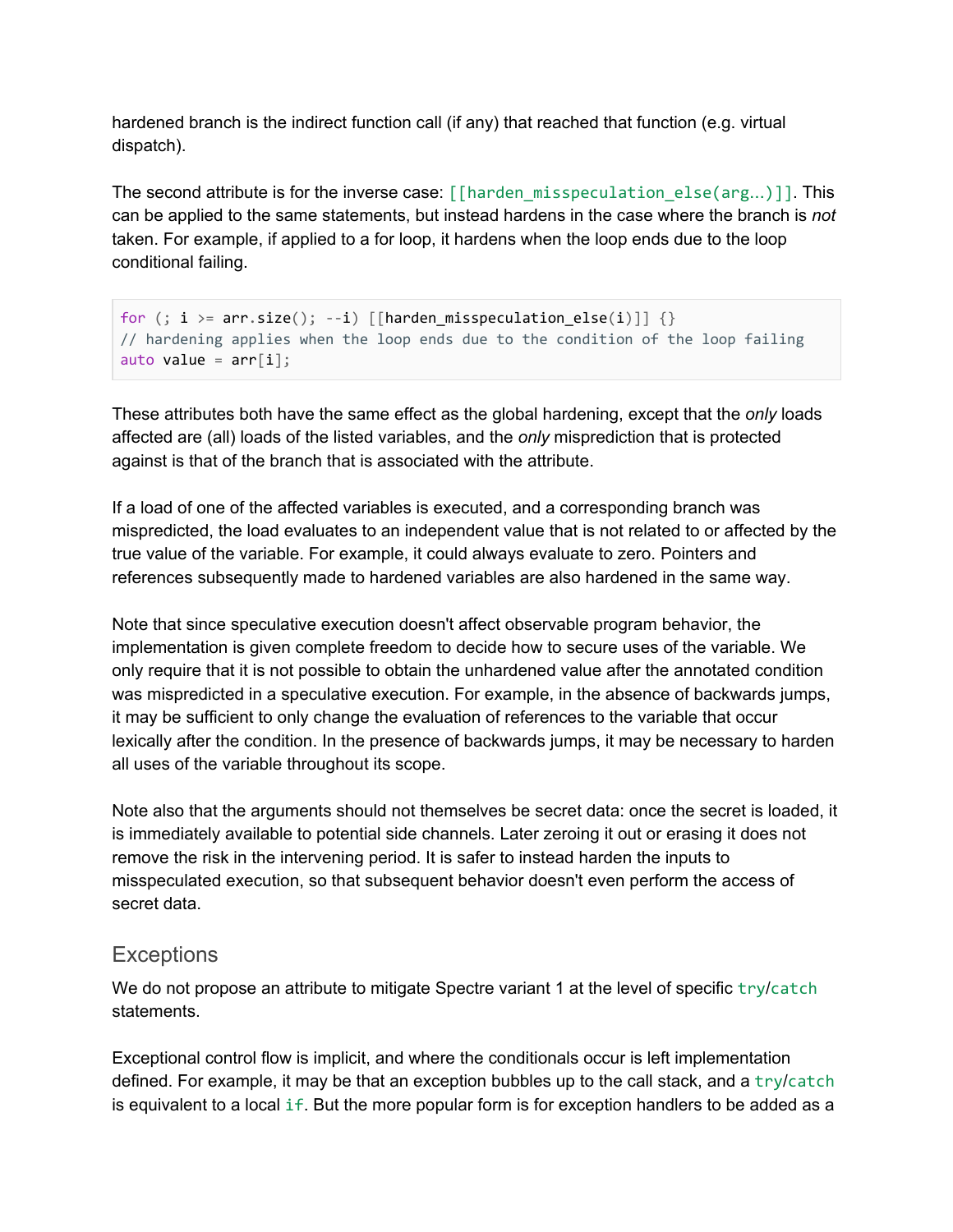hardened branch is the indirect function call (if any) that reached that function (e.g. virtual dispatch).

The second attribute is for the inverse case:  $\lceil \frac{\text{f}}{\text{harden}}\rceil$  misspeculation else(arg...)]]. This can be applied to the same statements, but instead hardens in the case where the branch is *not* taken. For example, if applied to a for loop, it hardens when the loop ends due to the loop conditional failing.

```
for (; i >= arr.size(); --i) [[harden misspeculation else(i)]] \{\}// hardening applies when the loop ends due to the condition of the loop failing
auto value = arr[i];
```
These attributes both have the same effect as the global hardening, except that the *only* loads affected are (all) loads of the listed variables, and the *only* misprediction that is protected against is that of the branch that is associated with the attribute.

If a load of one of the affected variables is executed, and a corresponding branch was mispredicted, the load evaluates to an independent value that is not related to or affected by the true value of the variable. For example, it could always evaluate to zero. Pointers and references subsequently made to hardened variables are also hardened in the same way.

Note that since speculative execution doesn't affect observable program behavior, the implementation is given complete freedom to decide how to secure uses of the variable. We only require that it is not possible to obtain the unhardened value after the annotated condition was mispredicted in a speculative execution. For example, in the absence of backwards jumps, it may be sufficient to only change the evaluation of references to the variable that occur lexically after the condition. In the presence of backwards jumps, it may be necessary to harden all uses of the variable throughout its scope.

Note also that the arguments should not themselves be secret data: once the secret is loaded, it is immediately available to potential side channels. Later zeroing it out or erasing it does not remove the risk in the intervening period. It is safer to instead harden the inputs to misspeculated execution, so that subsequent behavior doesn't even perform the access of secret data.

#### **Exceptions**

We do not propose an attribute to mitigate Spectre variant 1 at the level of specific  $try/catch$ statements.

Exceptional control flow is implicit, and where the conditionals occur is left implementation defined. For example, it may be that an exception bubbles up to the call stack, and a try/catch is equivalent to a local if. But the more popular form is for exception handlers to be added as a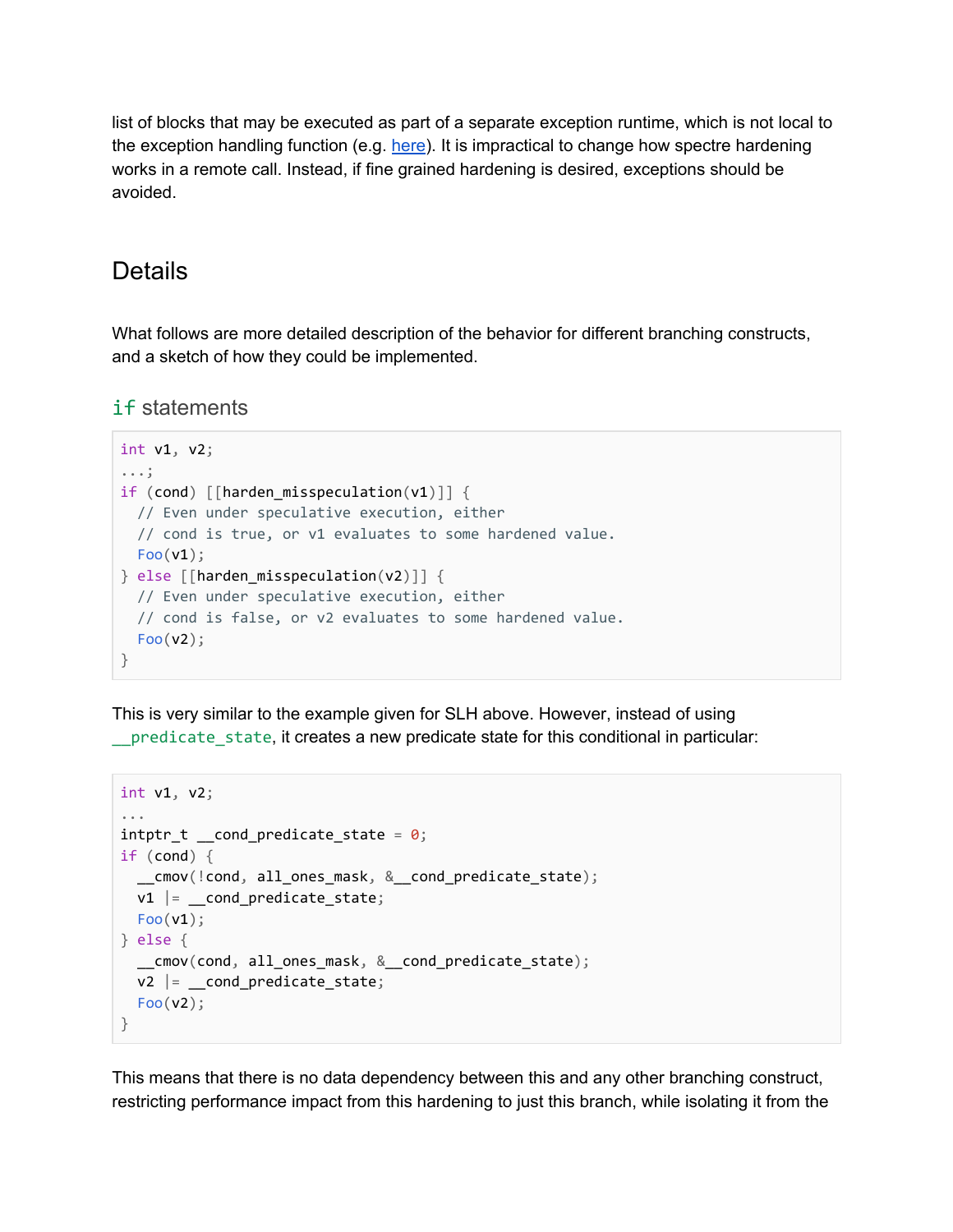list of blocks that may be executed as part of a separate exception runtime, which is not local to the exception handling function (e.g. [here\)](https://llvm.org/docs/ExceptionHandling.html#itanium-abi-zero-cost-exception-handling). It is impractical to change how spectre hardening works in a remote call. Instead, if fine grained hardening is desired, exceptions should be avoided.

### <span id="page-10-0"></span>Details

What follows are more detailed description of the behavior for different branching constructs, and a sketch of how they could be implemented.

if statements

```
int v1, v2;
...;
if (cond) [\text{harden\_misspeculation}(v1)] {
 // Even under speculative execution, either
 // cond is true, or v1 evaluates to some hardened value.
 Foo(v1);
} else [[harden_misspeculation(v2)]] {
 // Even under speculative execution, either
 // cond is false, or v2 evaluates to some hardened value.
 Foo(v2);
}
```
This is very similar to the example given for SLH above. However, instead of using predicate state, it creates a new predicate state for this conditional in particular:

```
int v1, v2;
...
intptr_t \_cond_predictate_state = 0;if (cond) {
  __cmov(!cond, all_ones_mask, &__cond_predicate_state);
 v1 |= cond predicate_state;
 Foo(v1);
} else {
  __cmov(cond, all_ones_mask, &__cond_predicate_state);
 v2 |= \text{\_cond\_predicate\_state};
 Foo(v2);
}
```
This means that there is no data dependency between this and any other branching construct, restricting performance impact from this hardening to just this branch, while isolating it from the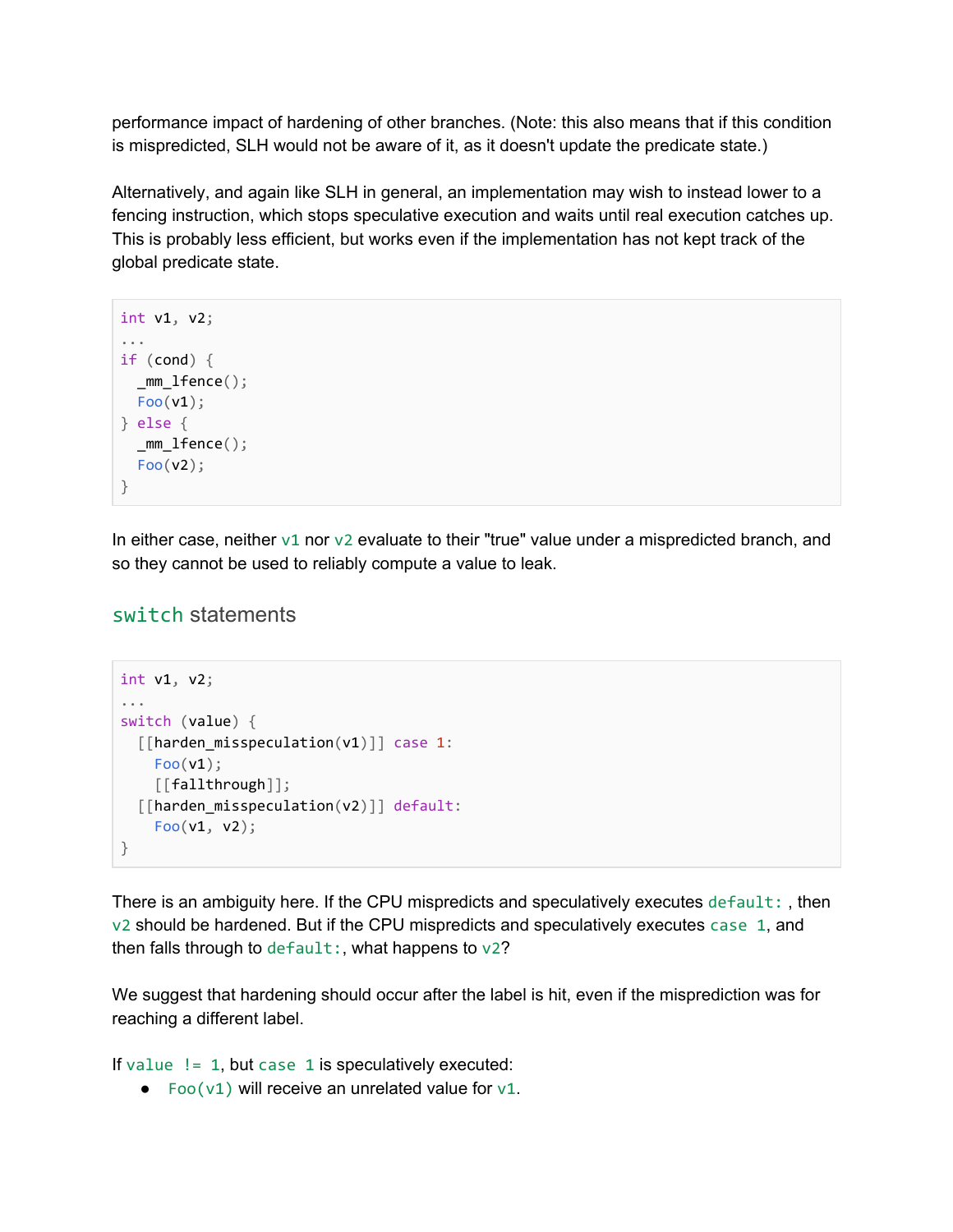performance impact of hardening of other branches. (Note: this also means that if this condition is mispredicted, SLH would not be aware of it, as it doesn't update the predicate state.)

Alternatively, and again like SLH in general, an implementation may wish to instead lower to a fencing instruction, which stops speculative execution and waits until real execution catches up. This is probably less efficient, but works even if the implementation has not kept track of the global predicate state.

```
int v1, v2;
...
if (cond) {
 mm 1fence();
 Foo(v1);
} else {
 _mm_lfence();
 Foo(v2);
}
```
In either case, neither  $v1$  nor  $v2$  evaluate to their "true" value under a mispredicted branch, and so they cannot be used to reliably compute a value to leak.

#### switch statements

```
int v1, v2;
...
switch (value) {
 [[harden_misspeculation(v1)]] case 1:
   Foo(v1);[[fallthrough]];
 [[harden_misspeculation(v2)]] default:
   Foo(v1, v2);}
```
There is an ambiguity here. If the CPU mispredicts and speculatively executes default:, then v2 should be hardened. But if the CPU mispredicts and speculatively executes case 1, and then falls through to default:, what happens to  $v2$ ?

We suggest that hardening should occur after the label is hit, even if the misprediction was for reaching a different label.

If value  $!= 1$ , but case 1 is speculatively executed:

 $\bullet$  Foo(v1) will receive an unrelated value for v1.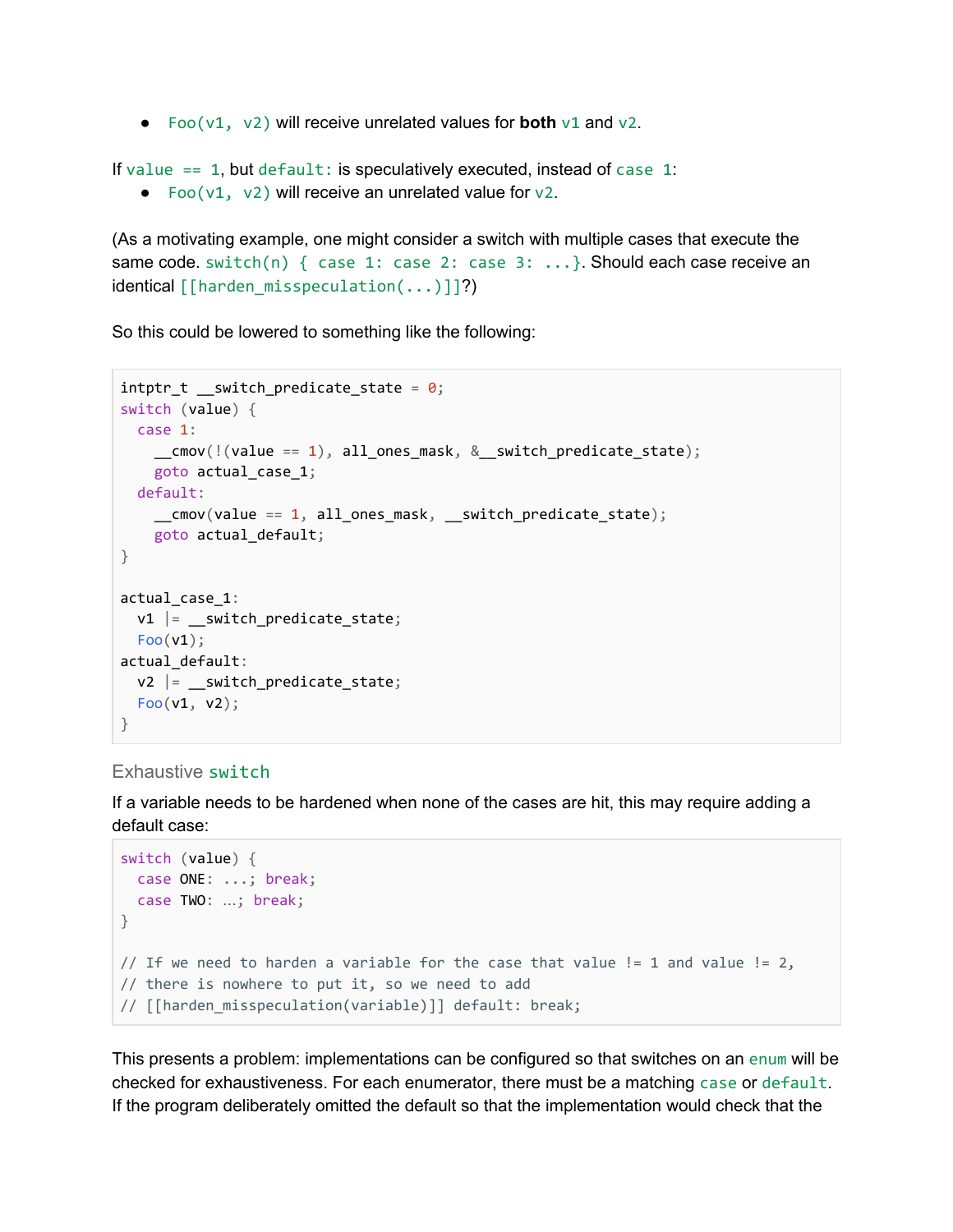● Foo(v1, v2) will receive unrelated values for **both** v1 and v2.

If value  $== 1$ , but default: is speculatively executed, instead of case 1:

• Foo( $v1$ ,  $v2$ ) will receive an unrelated value for  $v2$ .

(As a motivating example, one might consider a switch with multiple cases that execute the same code. switch(n) { case 1: case 2: case 3: ...}. Should each case receive an identical  $\lceil$ [harden misspeculation(...)]]?)

So this could be lowered to something like the following:

```
intptr_t _switch_predicate_state = \theta;
switch (value) {
  case 1:
    \text{conv}(\text{l}(\text{value} == 1), \text{ all\_ones\_mask}, \text{ &} \text{switch\_predicate\_state});goto actual_case_1;
  default:
    __cmov(value == 1, all_ones_mask, __switch_predicate_state);
    goto actual_default;
}
actual_case_1:
 v1 |= switch predicate state;
  Foo(v1);
actual_default:
  v2 |= __switch_predicate_state;
 Foo(v1, v2);}
```
#### Exhaustive switch

If a variable needs to be hardened when none of the cases are hit, this may require adding a default case:

```
switch (value) {
 case ONE: ...; break;
 case TWO: …; break;
}
// If we need to harden a variable for the case that value != 1 and value != 2,
// there is nowhere to put it, so we need to add
// [[harden_misspeculation(variable)]] default: break;
```
This presents a problem: implementations can be configured so that switches on an enum will be checked for exhaustiveness. For each enumerator, there must be a matching case or default. If the program deliberately omitted the default so that the implementation would check that the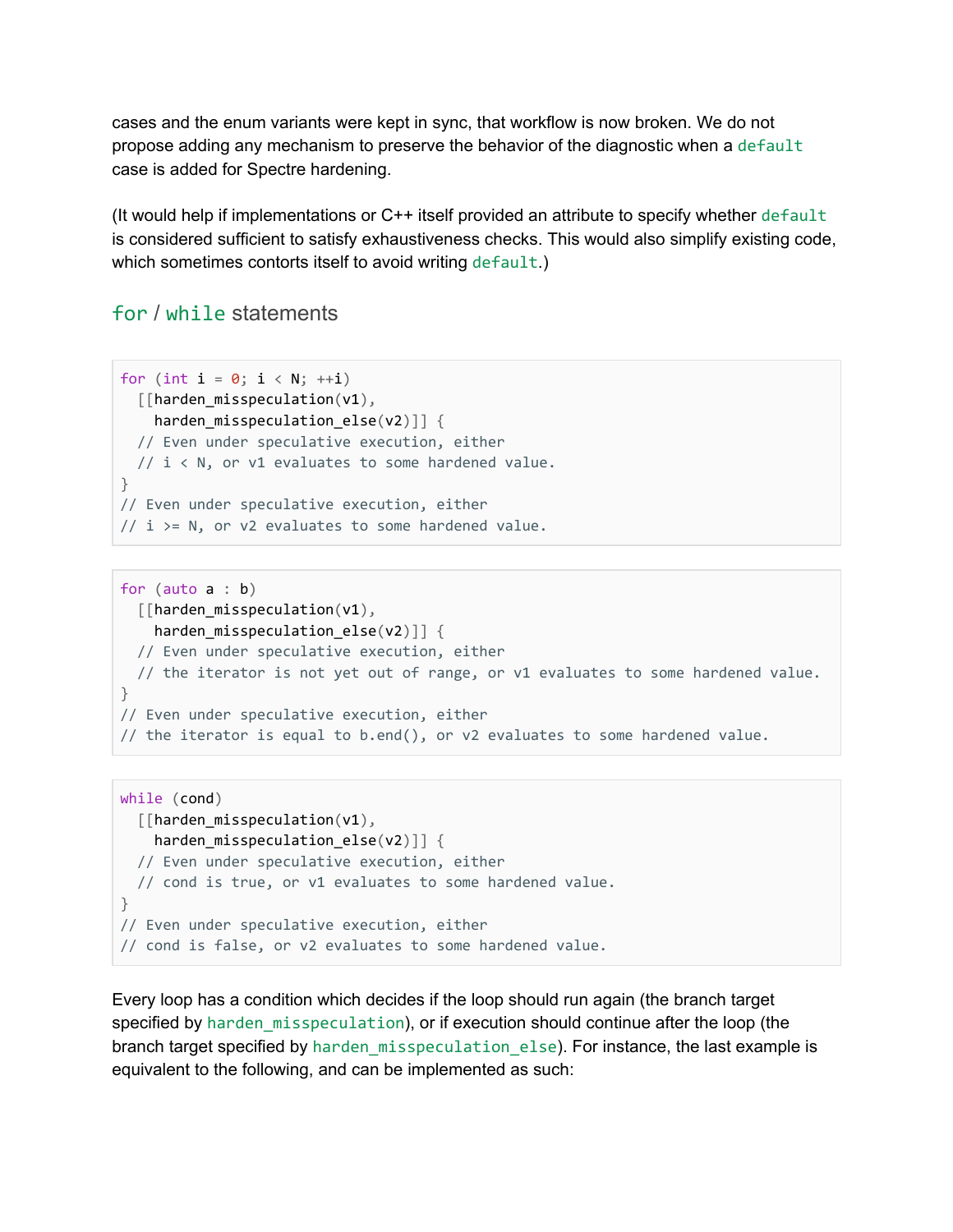cases and the enum variants were kept in sync, that workflow is now broken. We do not propose adding any mechanism to preserve the behavior of the diagnostic when a default case is added for Spectre hardening.

(It would help if implementations or C++ itself provided an attribute to specify whether default is considered sufficient to satisfy exhaustiveness checks. This would also simplify existing code, which sometimes contorts itself to avoid writing default.)

#### for / while statements

```
for (int i = 0; i < N; ++i)
 [[harden_misspeculation(v1),
   harden misspeculation else(v2)]] {
 // Even under speculative execution, either
 // i < N, or v1 evaluates to some hardened value.
}
// Even under speculative execution, either
// i >= N, or v2 evaluates to some hardened value.
```

```
for (auto a : b)
 [[harden_misspeculation(v1),
   harden_misspeculation_else(v2)]] {
 // Even under speculative execution, either
 // the iterator is not yet out of range, or v1 evaluates to some hardened value.
}
// Even under speculative execution, either
// the iterator is equal to b.end(), or v2 evaluates to some hardened value.
```

```
while (cond)
 [[harden_misspeculation(v1),
   harden misspeculation else(v2)]] {
 // Even under speculative execution, either
 // cond is true, or v1 evaluates to some hardened value.
}
// Even under speculative execution, either
// cond is false, or v2 evaluates to some hardened value.
```
Every loop has a condition which decides if the loop should run again (the branch target specified by harden misspeculation), or if execution should continue after the loop (the branch target specified by harden misspeculation else). For instance, the last example is equivalent to the following, and can be implemented as such: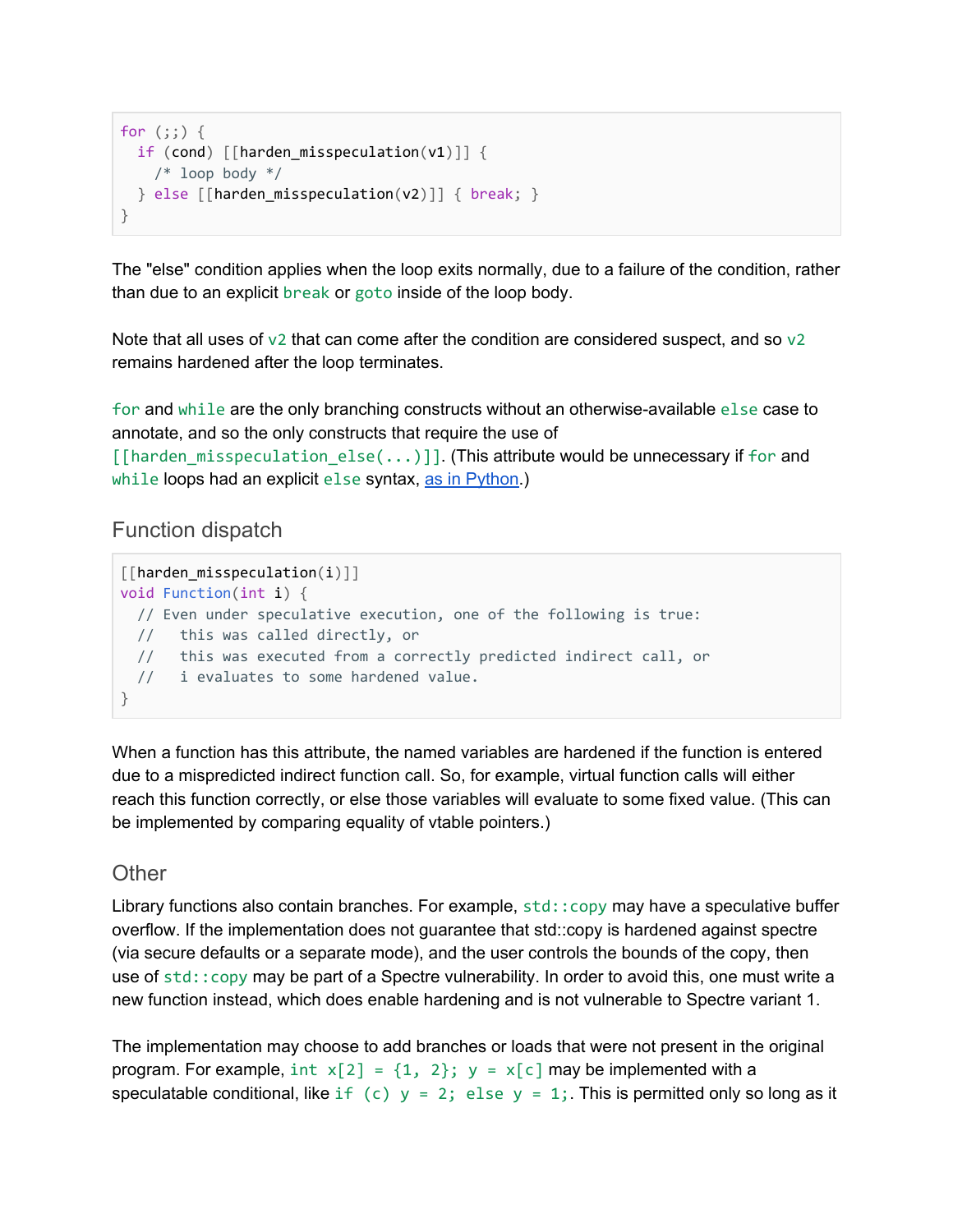```
for (:;) {
 if (cond) [[harden_misspeculation(v1)]] {
   /* loop body */} else [[harden_misspeculation(v2)]] { break; }
}
```
The "else" condition applies when the loop exits normally, due to a failure of the condition, rather than due to an explicit break or goto inside of the loop body.

Note that all uses of  $v2$  that can come after the condition are considered suspect, and so  $v2$ remains hardened after the loop terminates.

for and while are the only branching constructs without an otherwise-available else case to annotate, and so the only constructs that require the use of  $[$ [harden\_misspeculation\_else( $\ldots$ )]. (This attribute would be unnecessary if for and while loops had an explicit else syntax, as in [Python.](https://docs.python.org/3/tutorial/controlflow.html#break-and-continue-statements-and-else-clauses-on-loops))

#### Function dispatch

```
[[harden_misspeculation(i)]]
void Function(int i) {
  // Even under speculative execution, one of the following is true:
 // this was called directly, or
  // this was executed from a correctly predicted indirect call, or
 // i evaluates to some hardened value.
}
```
When a function has this attribute, the named variables are hardened if the function is entered due to a mispredicted indirect function call. So, for example, virtual function calls will either reach this function correctly, or else those variables will evaluate to some fixed value. (This can be implemented by comparing equality of vtable pointers.)

#### **Other**

Library functions also contain branches. For example, std:: copy may have a speculative buffer overflow. If the implementation does not guarantee that std::copy is hardened against spectre (via secure defaults or a separate mode), and the user controls the bounds of the copy, then use of std::copy may be part of a Spectre vulnerability. In order to avoid this, one must write a new function instead, which does enable hardening and is not vulnerable to Spectre variant 1.

The implementation may choose to add branches or loads that were not present in the original program. For example,  $int x[2] = \{1, 2\}$ ;  $y = x[c]$  may be implemented with a speculatable conditional, like if (c)  $y = 2$ ; else  $y = 1$ ;. This is permitted only so long as it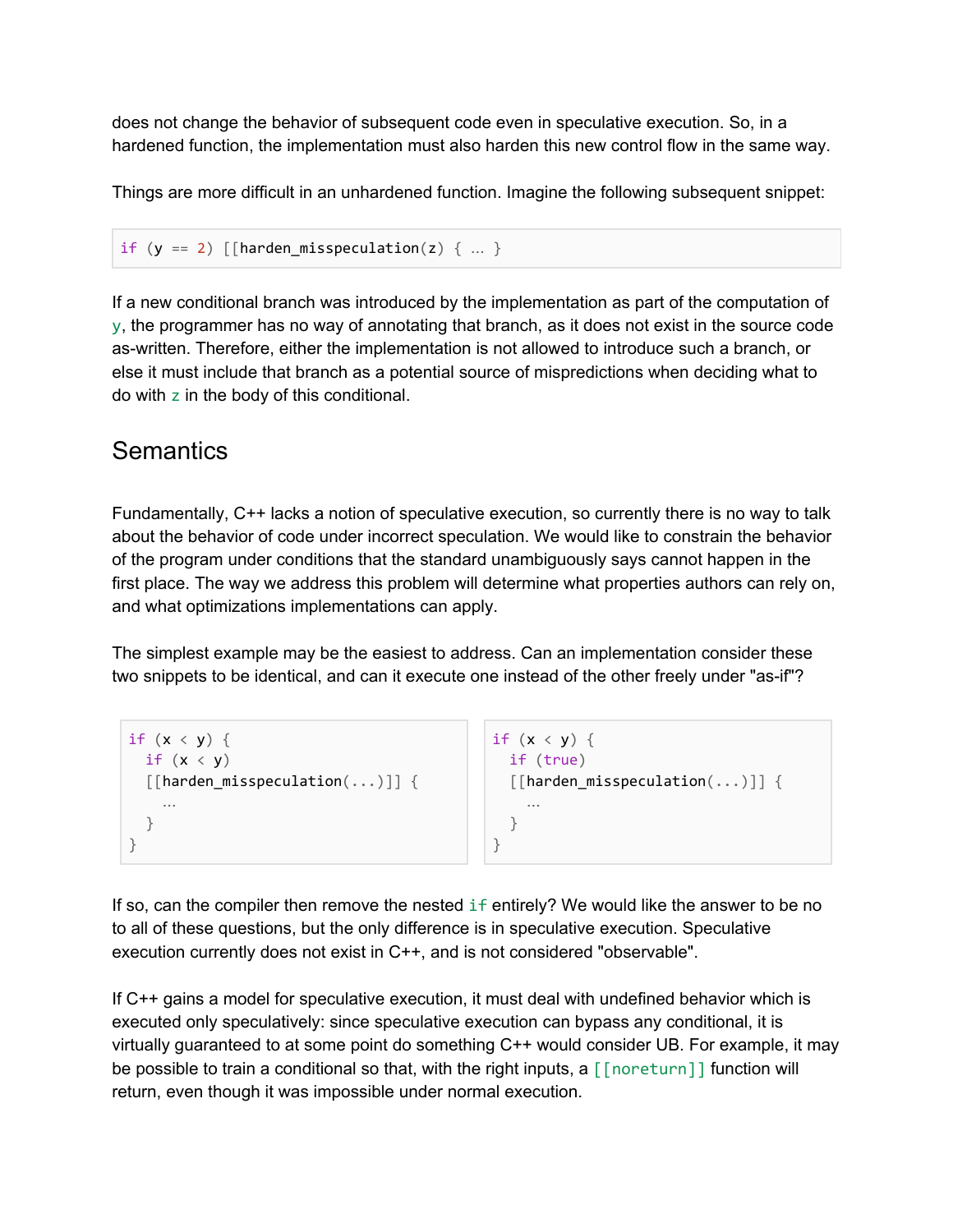does not change the behavior of subsequent code even in speculative execution. So, in a hardened function, the implementation must also harden this new control flow in the same way.

Things are more difficult in an unhardened function. Imagine the following subsequent snippet:

```
if (y == 2) [[harden_misspeculation(z) \{ ... \}
```
If a new conditional branch was introduced by the implementation as part of the computation of y, the programmer has no way of annotating that branch, as it does not exist in the source code as-written. Therefore, either the implementation is not allowed to introduce such a branch, or else it must include that branch as a potential source of mispredictions when deciding what to do with z in the body of this conditional.

### <span id="page-15-0"></span>**Semantics**

Fundamentally, C++ lacks a notion of speculative execution, so currently there is no way to talk about the behavior of code under incorrect speculation. We would like to constrain the behavior of the program under conditions that the standard unambiguously says cannot happen in the first place. The way we address this problem will determine what properties authors can rely on, and what optimizations implementations can apply.

The simplest example may be the easiest to address. Can an implementation consider these two snippets to be identical, and can it execute one instead of the other freely under "as-if"?

```
if (x < y) {
 if (x < y)[[harden_misspeculation(...)]] {
    …
  }
}
                                           if (x < y) {
                                             if (true)
                                             [[harden_misspeculation(...)]] {
                                                …
                                             }
                                           }
```
If so, can the compiler then remove the nested if entirely? We would like the answer to be no to all of these questions, but the only difference is in speculative execution. Speculative execution currently does not exist in C++, and is not considered "observable".

If C++ gains a model for speculative execution, it must deal with undefined behavior which is executed only speculatively: since speculative execution can bypass any conditional, it is virtually guaranteed to at some point do something C++ would consider UB. For example, it may be possible to train a conditional so that, with the right inputs, a [[noreturn]] function will return, even though it was impossible under normal execution.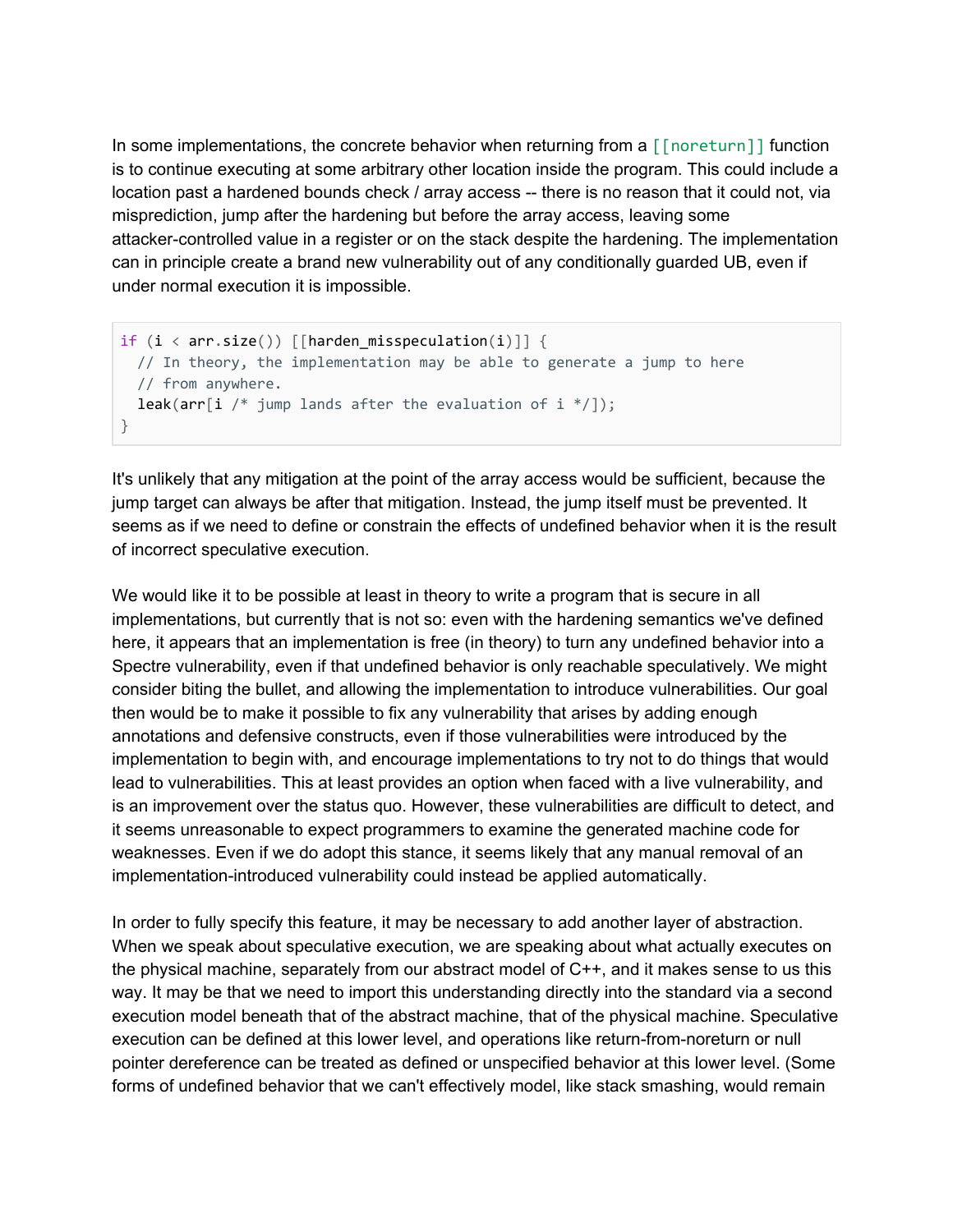In some implementations, the concrete behavior when returning from a  $\lceil \lceil$  noreturn $\rceil$  and function is to continue executing at some arbitrary other location inside the program. This could include a location past a hardened bounds check / array access -- there is no reason that it could not, via misprediction, jump after the hardening but before the array access, leaving some attacker-controlled value in a register or on the stack despite the hardening. The implementation can in principle create a brand new vulnerability out of any conditionally guarded UB, even if under normal execution it is impossible.

```
if (i \leftarrow arr.size()) [[harden_misspeculation(i)]] {
 // In theory, the implementation may be able to generate a jump to here
 // from anywhere.
 leak(arr[i /* jump lands after the evaluation of i */]);
}
```
It's unlikely that any mitigation at the point of the array access would be sufficient, because the jump target can always be after that mitigation. Instead, the jump itself must be prevented. It seems as if we need to define or constrain the effects of undefined behavior when it is the result of incorrect speculative execution.

We would like it to be possible at least in theory to write a program that is secure in all implementations, but currently that is not so: even with the hardening semantics we've defined here, it appears that an implementation is free (in theory) to turn any undefined behavior into a Spectre vulnerability, even if that undefined behavior is only reachable speculatively. We might consider biting the bullet, and allowing the implementation to introduce vulnerabilities. Our goal then would be to make it possible to fix any vulnerability that arises by adding enough annotations and defensive constructs, even if those vulnerabilities were introduced by the implementation to begin with, and encourage implementations to try not to do things that would lead to vulnerabilities. This at least provides an option when faced with a live vulnerability, and is an improvement over the status quo. However, these vulnerabilities are difficult to detect, and it seems unreasonable to expect programmers to examine the generated machine code for weaknesses. Even if we do adopt this stance, it seems likely that any manual removal of an implementation-introduced vulnerability could instead be applied automatically.

In order to fully specify this feature, it may be necessary to add another layer of abstraction. When we speak about speculative execution, we are speaking about what actually executes on the physical machine, separately from our abstract model of C++, and it makes sense to us this way. It may be that we need to import this understanding directly into the standard via a second execution model beneath that of the abstract machine, that of the physical machine. Speculative execution can be defined at this lower level, and operations like return-from-noreturn or null pointer dereference can be treated as defined or unspecified behavior at this lower level. (Some forms of undefined behavior that we can't effectively model, like stack smashing, would remain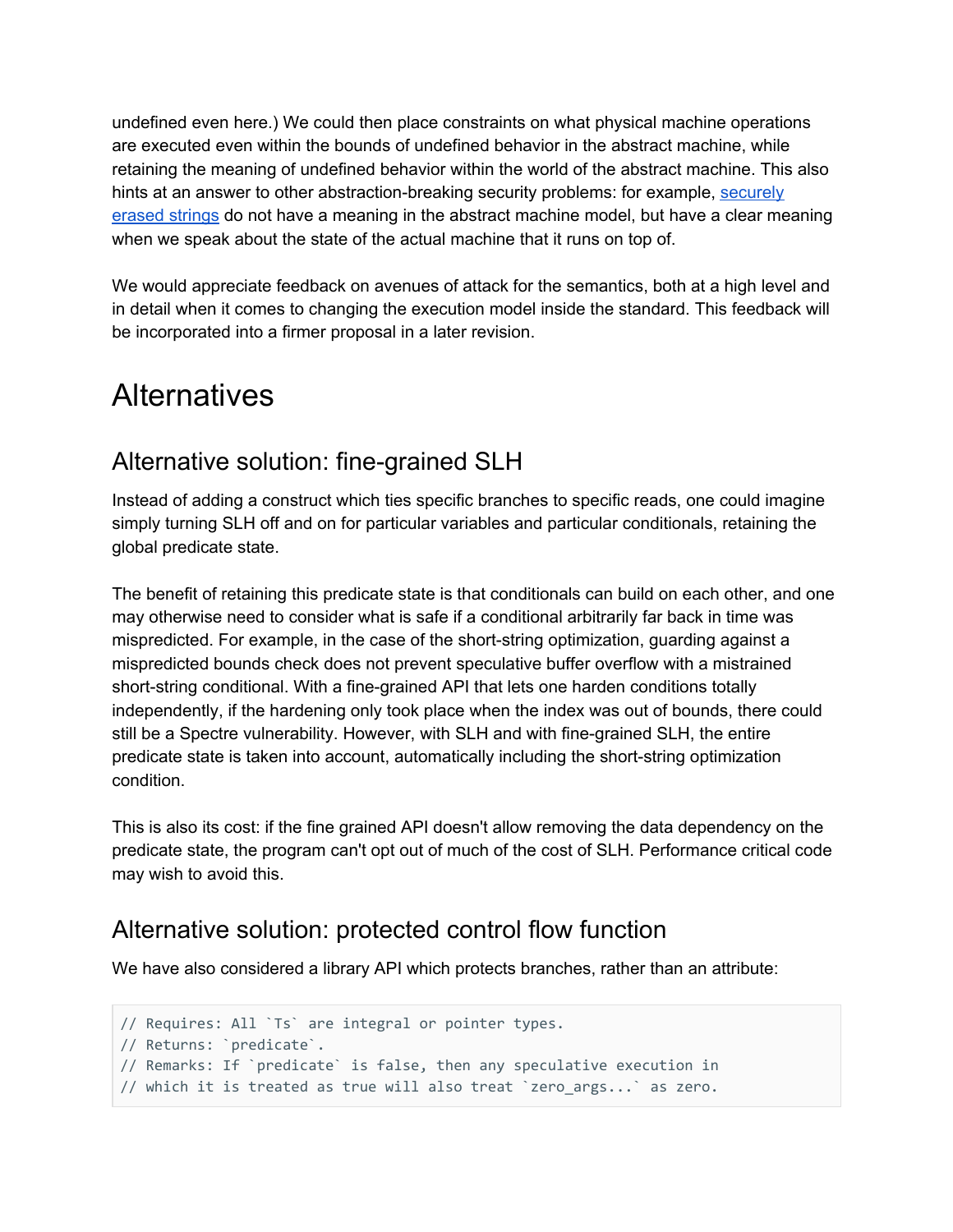undefined even here.) We could then place constraints on what physical machine operations are executed even within the bounds of undefined behavior in the abstract machine, while retaining the meaning of undefined behavior within the world of the abstract machine. This also hints at an answer to other abstraction-breaking security problems: for example, [securely](http://open-std.org/JTC1/SC22/WG21/docs/papers/2019/p1315r3.html) [erased](http://open-std.org/JTC1/SC22/WG21/docs/papers/2019/p1315r3.html) strings do not have a meaning in the abstract machine model, but have a clear meaning when we speak about the state of the actual machine that it runs on top of.

We would appreciate feedback on avenues of attack for the semantics, both at a high level and in detail when it comes to changing the execution model inside the standard. This feedback will be incorporated into a firmer proposal in a later revision.

## <span id="page-17-0"></span>**Alternatives**

### <span id="page-17-1"></span>Alternative solution: fine-grained SLH

Instead of adding a construct which ties specific branches to specific reads, one could imagine simply turning SLH off and on for particular variables and particular conditionals, retaining the global predicate state.

The benefit of retaining this predicate state is that conditionals can build on each other, and one may otherwise need to consider what is safe if a conditional arbitrarily far back in time was mispredicted. For example, in the case of the short-string optimization, guarding against a mispredicted bounds check does not prevent speculative buffer overflow with a mistrained short-string conditional. With a fine-grained API that lets one harden conditions totally independently, if the hardening only took place when the index was out of bounds, there could still be a Spectre vulnerability. However, with SLH and with fine-grained SLH, the entire predicate state is taken into account, automatically including the short-string optimization condition.

This is also its cost: if the fine grained API doesn't allow removing the data dependency on the predicate state, the program can't opt out of much of the cost of SLH. Performance critical code may wish to avoid this.

### <span id="page-17-2"></span>Alternative solution: protected control flow function

We have also considered a library API which protects branches, rather than an attribute:

```
// Requires: All `Ts` are integral or pointer types.
// Returns: `predicate`.
// Remarks: If `predicate` is false, then any speculative execution in
// which it is treated as true will also treat `zero_args...` as zero.
```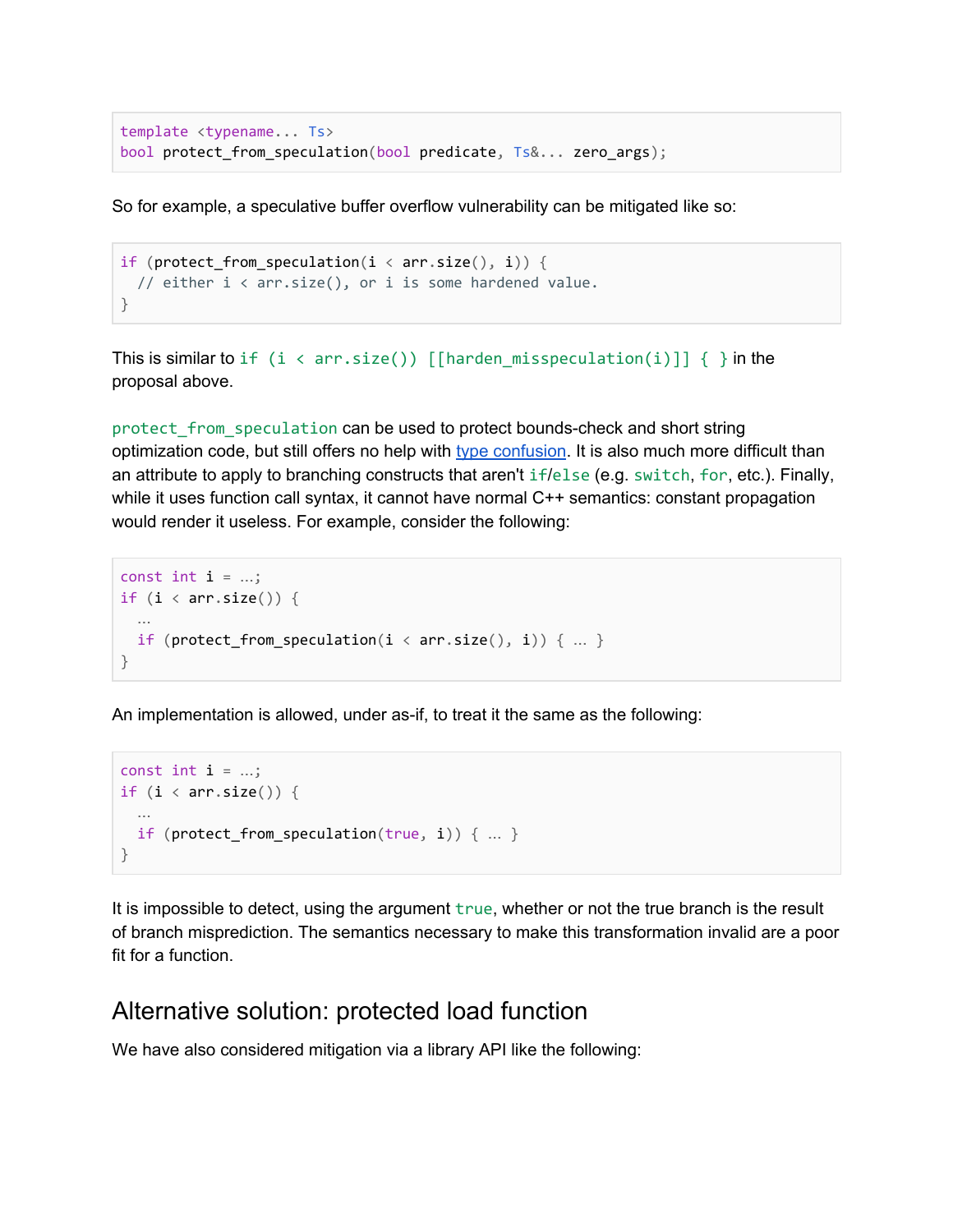```
template <typename... Ts>
bool protect_from_speculation(bool predicate, Ts&... zero_args);
```
So for example, a speculative buffer overflow vulnerability can be mitigated like so:

```
if (protect_from_speculation(i < arr.size(), i)) {
 // either i < arr.size(), or i is some hardened value.
}
```
This is similar to if  $(i \lt arr.size())$  [[harden\_misspeculation(i)]]  $\{\}\$ in the proposal above.

protect\_from\_speculation can be used to protect bounds-check and short string optimization code, but still offers no help with type [confusion](#page-3-0). It is also much more difficult than an attribute to apply to branching constructs that aren't if/else (e.g. switch, for, etc.). Finally, while it uses function call syntax, it cannot have normal C++ semantics: constant propagation would render it useless. For example, consider the following:

```
const int i = ...;if (i \langle arr.size()) {
  …
 if (protect_from_speculation(i < arr.size(), i)) { ... }
}
```
An implementation is allowed, under as-if, to treat it the same as the following:

```
const int i = ...;if (i \lt arr.size()) {
 …
 if (protect_from_speculation(true, i)) { … }
}
```
It is impossible to detect, using the argument true, whether or not the true branch is the result of branch misprediction. The semantics necessary to make this transformation invalid are a poor fit for a function.

#### <span id="page-18-0"></span>Alternative solution: protected load function

We have also considered mitigation via a library API like the following: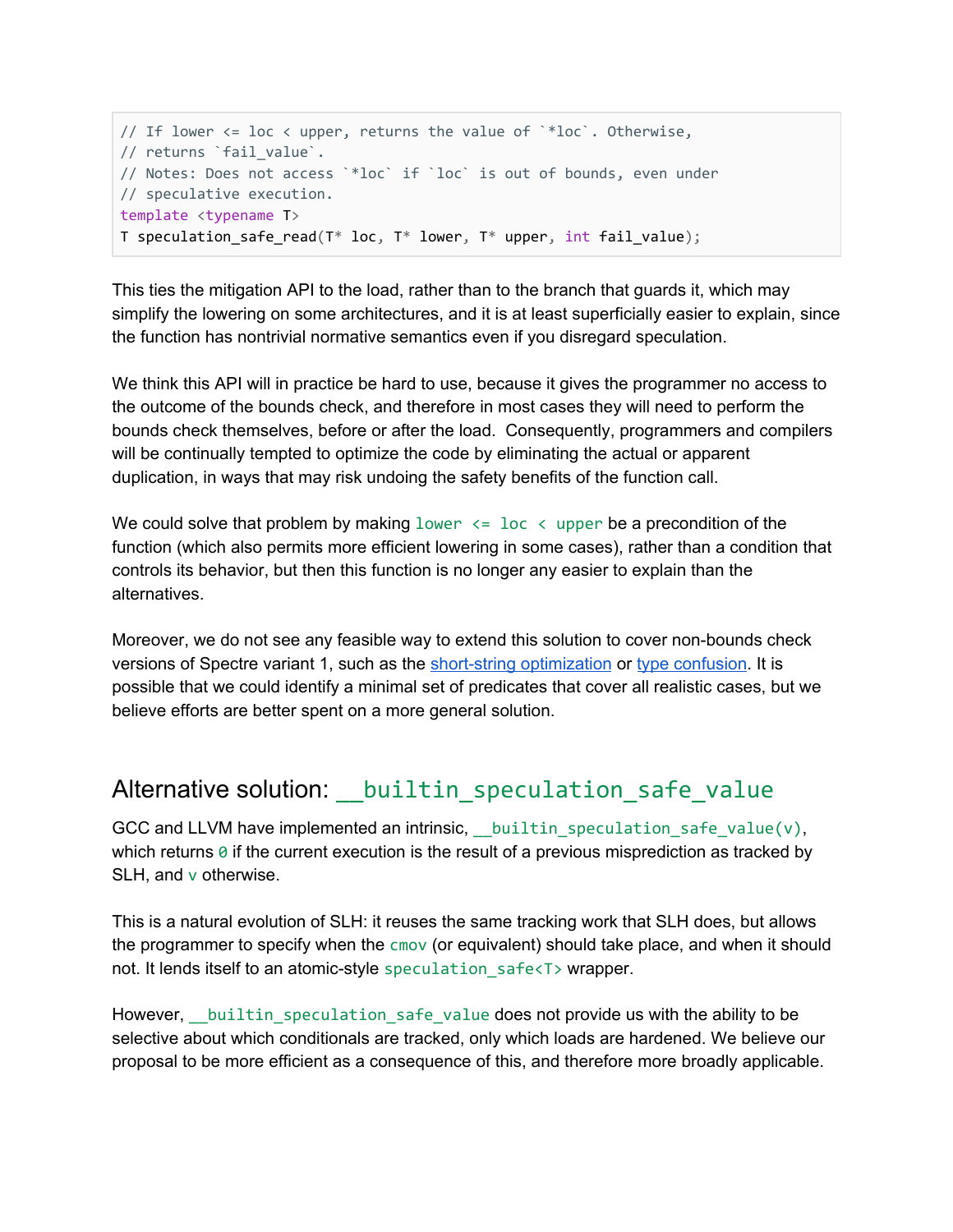```
// If lower \le loc \lt upper, returns the value of \cdot*loc\cdot. Otherwise,
// returns `fail value`.
// Notes: Does not access `*loc` if `loc` is out of bounds, even under
// speculative execution.
template <typename T>
T speculation_safe_read(T* loc, T* lower, T* upper, int fail_value);
```
This ties the mitigation API to the load, rather than to the branch that guards it, which may simplify the lowering on some architectures, and it is at least superficially easier to explain, since the function has nontrivial normative semantics even if you disregard speculation.

We think this API will in practice be hard to use, because it gives the programmer no access to the outcome of the bounds check, and therefore in most cases they will need to perform the bounds check themselves, before or after the load. Consequently, programmers and compilers will be continually tempted to optimize the code by eliminating the actual or apparent duplication, in ways that may risk undoing the safety benefits of the function call.

We could solve that problem by making  $lower \leq loc \leq upper$  be a precondition of the function (which also permits more efficient lowering in some cases), rather than a condition that controls its behavior, but then this function is no longer any easier to explain than the alternatives.

Moreover, we do not see any feasible way to extend this solution to cover non-bounds check versions of Spectre variant 1, such as the short-string [optimization](#page-2-1) or type [confusion](#page-3-0). It is possible that we could identify a minimal set of predicates that cover all realistic cases, but we believe efforts are better spent on a more general solution.

### <span id="page-19-0"></span>Alternative solution: builtin speculation safe value

GCC and LLVM have implemented an intrinsic, builtin speculation safe value(v), which returns  $\theta$  if the current execution is the result of a previous misprediction as tracked by SLH, and v otherwise.

This is a natural evolution of SLH: it reuses the same tracking work that SLH does, but allows the programmer to specify when the cmov (or equivalent) should take place, and when it should not. It lends itself to an atomic-style speculation safe<T> wrapper.

However, builtin speculation safe value does not provide us with the ability to be selective about which conditionals are tracked, only which loads are hardened. We believe our proposal to be more efficient as a consequence of this, and therefore more broadly applicable.